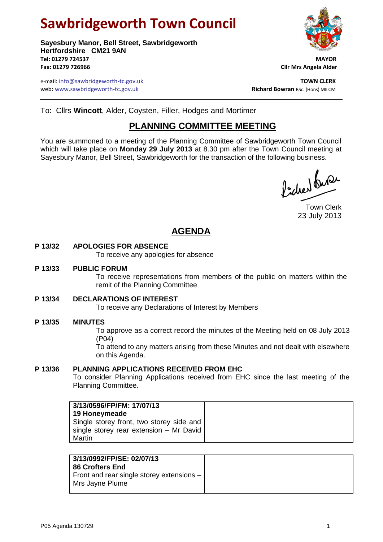# **Sawbridgeworth Town Council**

**Sayesbury Manor, Bell Street, Sawbridgeworth Hertfordshire CM21 9AN Tel: 01279 724537 MAYOR Fax: 01279 726966 Cllr Mrs Angela Alder**

e-mail: info@sawbridgeworth-tc.gov.uk<br>**Web:** www.sawbridgeworth-tc.gov.uk **TOWN CLERK**<br>**Richard Bowran** BSc. (Hons) MILCM web: www.sawbridgeworth-tc.gov.uk



To: Cllrs **Wincott**, Alder, Coysten, Filler, Hodges and Mortimer

# **PLANNING COMMITTEE MEETING**

You are summoned to a meeting of the Planning Committee of Sawbridgeworth Town Council which will take place on **Monday 29 July 2013** at 8.30 pm after the Town Council meeting at Sayesbury Manor, Bell Street, Sawbridgeworth for the transaction of the following business.

fideed fuse

Town Clerk 23 July 2013

# **AGENDA**

# **P 13/32 APOLOGIES FOR ABSENCE**

To receive any apologies for absence

# **P 13/33 PUBLIC FORUM**

To receive representations from members of the public on matters within the remit of the Planning Committee

# **P 13/34 DECLARATIONS OF INTEREST**

To receive any Declarations of Interest by Members

# **P 13/35 MINUTES**

To approve as a correct record the minutes of the Meeting held on 08 July 2013 (P04)

To attend to any matters arising from these Minutes and not dealt with elsewhere on this Agenda.

# **P 13/36 PLANNING APPLICATIONS RECEIVED FROM EHC**

To consider Planning Applications received from EHC since the last meeting of the Planning Committee.

| 3/13/0596/FP/FM: 17/07/13<br>19 Honeymeade<br>Single storey front, two storey side and |
|----------------------------------------------------------------------------------------|
| single storey rear extension - Mr David                                                |
| Martin                                                                                 |

| 3/13/0992/FP/SE: 02/07/13<br><b>86 Crofters End</b>            |
|----------------------------------------------------------------|
| Front and rear single storey extensions $-$<br>Mrs Jayne Plume |
|                                                                |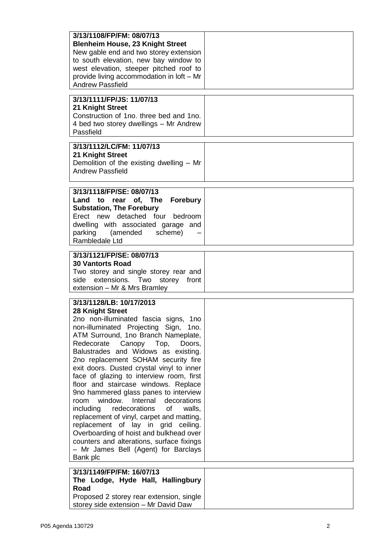| 3/13/1108/FP/FM: 08/07/13<br><b>Blenheim House, 23 Knight Street</b><br>New gable end and two storey extension<br>to south elevation, new bay window to<br>west elevation, steeper pitched roof to<br>provide living accommodation in loft - Mr<br><b>Andrew Passfield</b>                                                                                                                                                                                                                                                                                                                                                                                                                                                                                                                    |  |
|-----------------------------------------------------------------------------------------------------------------------------------------------------------------------------------------------------------------------------------------------------------------------------------------------------------------------------------------------------------------------------------------------------------------------------------------------------------------------------------------------------------------------------------------------------------------------------------------------------------------------------------------------------------------------------------------------------------------------------------------------------------------------------------------------|--|
| 3/13/1111/FP/JS: 11/07/13<br>21 Knight Street<br>Construction of 1no. three bed and 1no.<br>4 bed two storey dwellings - Mr Andrew<br>Passfield                                                                                                                                                                                                                                                                                                                                                                                                                                                                                                                                                                                                                                               |  |
| 3/13/1112/LC/FM: 11/07/13<br>21 Knight Street<br>Demolition of the existing dwelling - Mr<br><b>Andrew Passfield</b>                                                                                                                                                                                                                                                                                                                                                                                                                                                                                                                                                                                                                                                                          |  |
| 3/13/1118/FP/SE: 08/07/13<br>Land to rear of, The Forebury<br><b>Substation, The Forebury</b><br>Erect new detached four bedroom<br>dwelling with associated garage and<br>parking (amended scheme)<br>Rambledale Ltd                                                                                                                                                                                                                                                                                                                                                                                                                                                                                                                                                                         |  |
| 3/13/1121/FP/SE: 08/07/13<br><b>30 Vantorts Road</b><br>Two storey and single storey rear and<br>side extensions. Two storey front<br>extension - Mr & Mrs Bramley                                                                                                                                                                                                                                                                                                                                                                                                                                                                                                                                                                                                                            |  |
| 3/13/1128/LB: 10/17/2013<br>28 Knight Street<br>2no non-illuminated fascia signs, 1no<br>non-illuminated Projecting Sign, 1no.<br>ATM Surround, 1no Branch Nameplate,<br>Redecorate<br>Canopy Top,<br>Doors,<br>Balustrades and Widows as existing.<br>2no replacement SOHAM security fire<br>exit doors. Dusted crystal vinyl to inner<br>face of glazing to interview room, first<br>floor and staircase windows. Replace<br>9no hammered glass panes to interview<br>window. Internal<br>decorations<br>room<br>redecorations<br>of<br>including<br>walls,<br>replacement of vinyl, carpet and matting,<br>replacement of lay in grid ceiling.<br>Overboarding of hoist and bulkhead over<br>counters and alterations, surface fixings<br>- Mr James Bell (Agent) for Barclays<br>Bank plc |  |
| 3/13/1149/FP/FM: 16/07/13<br>The Lodge, Hyde Hall, Hallingbury<br>Road<br>Proposed 2 storey rear extension, single<br>storey side extension - Mr David Daw                                                                                                                                                                                                                                                                                                                                                                                                                                                                                                                                                                                                                                    |  |